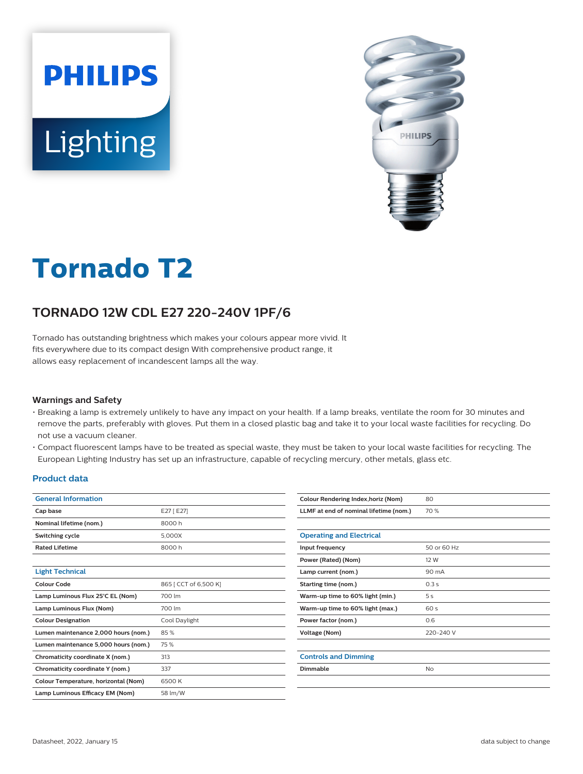



# **Tornado T2**

## **TORNADO 12W CDL E27 220-240V 1PF/6**

Tornado has outstanding brightness which makes your colours appear more vivid. It fits everywhere due to its compact design With comprehensive product range, it allows easy replacement of incandescent lamps all the way.

#### **Warnings and Safety**

- Breaking a lamp is extremely unlikely to have any impact on your health. If a lamp breaks, ventilate the room for 30 minutes and remove the parts, preferably with gloves. Put them in a closed plastic bag and take it to your local waste facilities for recycling. Do not use a vacuum cleaner.
- Compact fluorescent lamps have to be treated as special waste, they must be taken to your local waste facilities for recycling. The European Lighting Industry has set up an infrastructure, capable of recycling mercury, other metals, glass etc.

#### **Product data**

| <b>General Information</b>           |                       |  |  |
|--------------------------------------|-----------------------|--|--|
| Cap base                             | E27 [E27]             |  |  |
| Nominal lifetime (nom.)              | 8000 h                |  |  |
| Switching cycle                      | 5,000X                |  |  |
| <b>Rated Lifetime</b>                | 8000 h                |  |  |
|                                      |                       |  |  |
| <b>Light Technical</b>               |                       |  |  |
| Colour Code                          | 865   CCT of 6,500 K] |  |  |
| Lamp Luminous Flux 25°C EL (Nom)     | 700 lm                |  |  |
| Lamp Luminous Flux (Nom)             | 700 lm                |  |  |
| <b>Colour Designation</b>            | Cool Daylight         |  |  |
| Lumen maintenance 2,000 hours (nom.) | 85%                   |  |  |
| Lumen maintenance 5,000 hours (nom.) | 75%                   |  |  |
| Chromaticity coordinate X (nom.)     | 313                   |  |  |
| Chromaticity coordinate Y (nom.)     | 337                   |  |  |
| Colour Temperature, horizontal (Nom) | 6500 K                |  |  |
| Lamp Luminous Efficacy EM (Nom)      | 58 lm/W               |  |  |

| Colour Rendering Index, horiz (Nom)    | 80          |
|----------------------------------------|-------------|
| LLMF at end of nominal lifetime (nom.) | 70 %        |
|                                        |             |
| <b>Operating and Electrical</b>        |             |
| Input frequency                        | 50 or 60 Hz |
| Power (Rated) (Nom)                    | 12 W        |
| Lamp current (nom.)                    | 90 mA       |
| Starting time (nom.)                   | 0.3s        |
| Warm-up time to 60% light (min.)       | 5s          |
| Warm-up time to 60% light (max.)       | 60 s        |
| Power factor (nom.)                    | 0.6         |
| Voltage (Nom)                          | 220-240 V   |
|                                        |             |
| <b>Controls and Dimming</b>            |             |
| Dimmable                               | No          |
|                                        |             |